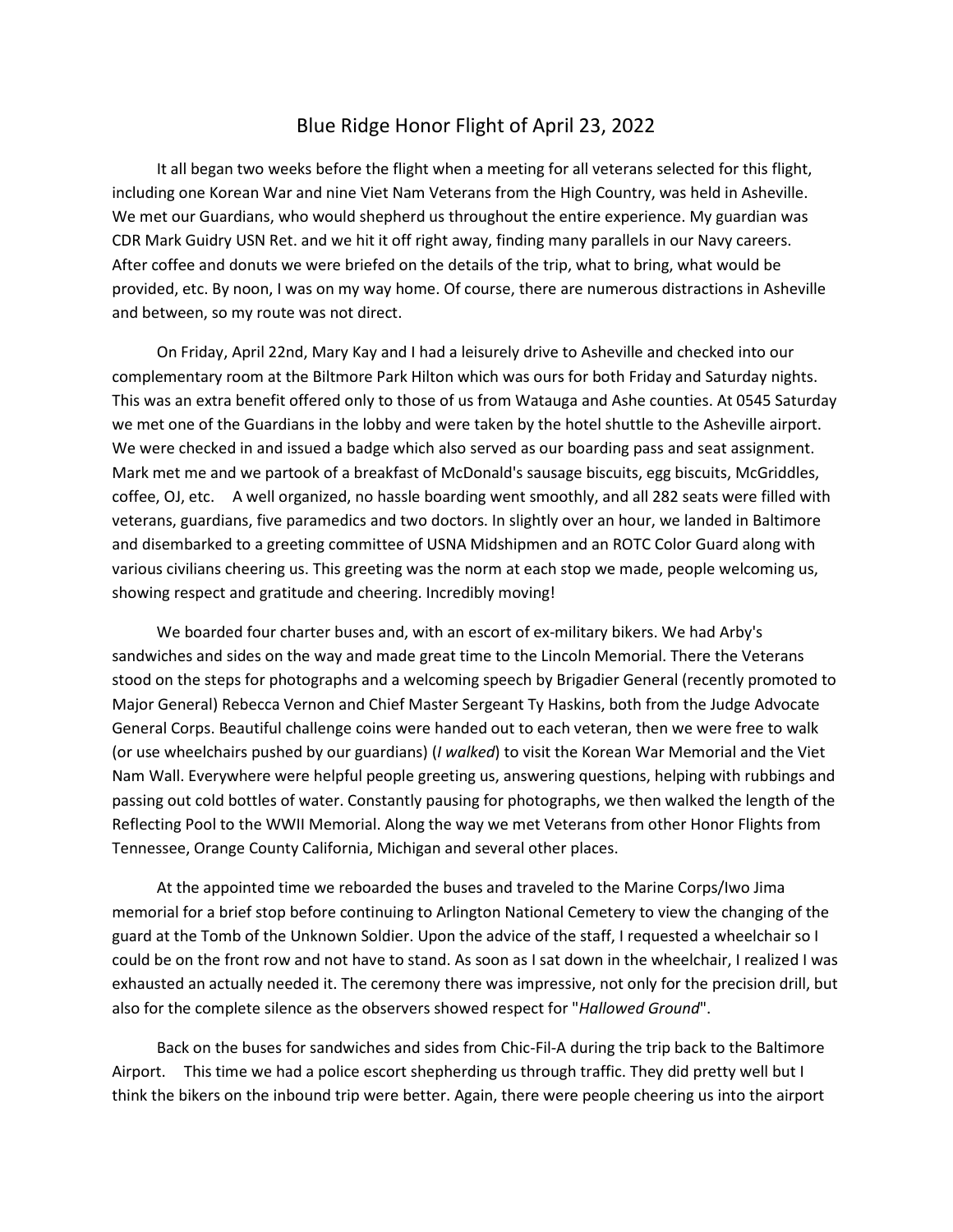## Blue Ridge Honor Flight of April 23, 2022

 It all began two weeks before the flight when a meeting for all veterans selected for this flight, including one Korean War and nine Viet Nam Veterans from the High Country, was held in Asheville. We met our Guardians, who would shepherd us throughout the entire experience. My guardian was CDR Mark Guidry USN Ret. and we hit it off right away, finding many parallels in our Navy careers. After coffee and donuts we were briefed on the details of the trip, what to bring, what would be provided, etc. By noon, I was on my way home. Of course, there are numerous distractions in Asheville and between, so my route was not direct.

 On Friday, April 22nd, Mary Kay and I had a leisurely drive to Asheville and checked into our complementary room at the Biltmore Park Hilton which was ours for both Friday and Saturday nights. This was an extra benefit offered only to those of us from Watauga and Ashe counties. At 0545 Saturday we met one of the Guardians in the lobby and were taken by the hotel shuttle to the Asheville airport. We were checked in and issued a badge which also served as our boarding pass and seat assignment. Mark met me and we partook of a breakfast of McDonald's sausage biscuits, egg biscuits, McGriddles, coffee, OJ, etc. A well organized, no hassle boarding went smoothly, and all 282 seats were filled with veterans, guardians, five paramedics and two doctors. In slightly over an hour, we landed in Baltimore and disembarked to a greeting committee of USNA Midshipmen and an ROTC Color Guard along with various civilians cheering us. This greeting was the norm at each stop we made, people welcoming us, showing respect and gratitude and cheering. Incredibly moving!

 We boarded four charter buses and, with an escort of ex-military bikers. We had Arby's sandwiches and sides on the way and made great time to the Lincoln Memorial. There the Veterans stood on the steps for photographs and a welcoming speech by Brigadier General (recently promoted to Major General) Rebecca Vernon and Chief Master Sergeant Ty Haskins, both from the Judge Advocate General Corps. Beautiful challenge coins were handed out to each veteran, then we were free to walk (or use wheelchairs pushed by our guardians) (*I walked*) to visit the Korean War Memorial and the Viet Nam Wall. Everywhere were helpful people greeting us, answering questions, helping with rubbings and passing out cold bottles of water. Constantly pausing for photographs, we then walked the length of the Reflecting Pool to the WWII Memorial. Along the way we met Veterans from other Honor Flights from Tennessee, Orange County California, Michigan and several other places.

 At the appointed time we reboarded the buses and traveled to the Marine Corps/Iwo Jima memorial for a brief stop before continuing to Arlington National Cemetery to view the changing of the guard at the Tomb of the Unknown Soldier. Upon the advice of the staff, I requested a wheelchair so I could be on the front row and not have to stand. As soon as I sat down in the wheelchair, I realized I was exhausted an actually needed it. The ceremony there was impressive, not only for the precision drill, but also for the complete silence as the observers showed respect for "*Hallowed Ground*".

 Back on the buses for sandwiches and sides from Chic-Fil-A during the trip back to the Baltimore Airport. This time we had a police escort shepherding us through traffic. They did pretty well but I think the bikers on the inbound trip were better. Again, there were people cheering us into the airport